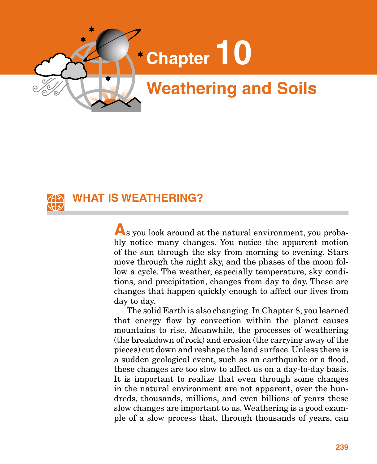

# **WHAT IS WEATHERING?**

**A**s you look around at the natural environment, you probably notice many changes. You notice the apparent motion of the sun through the sky from morning to evening. Stars move through the night sky, and the phases of the moon follow a cycle. The weather, especially temperature, sky conditions, and precipitation, changes from day to day. These are changes that happen quickly enough to affect our lives from day to day.

The solid Earth is also changing. In Chapter 8, you learned that energy flow by convection within the planet causes mountains to rise. Meanwhile, the processes of weathering (the breakdown of rock) and erosion (the carrying away of the pieces) cut down and reshape the land surface. Unless there is a sudden geological event, such as an earthquake or a flood, these changes are too slow to affect us on a day-to-day basis. It is important to realize that even through some changes in the natural environment are not apparent, over the hundreds, thousands, millions, and even billions of years these slow changes are important to us. Weathering is a good example of a slow process that, through thousands of years, can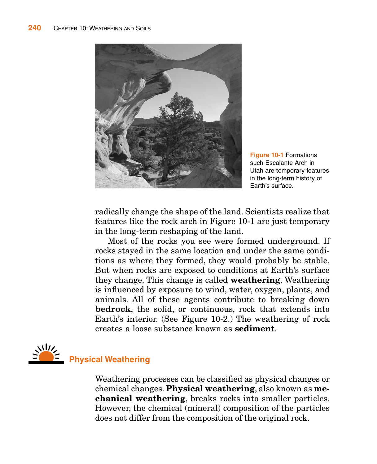

**Figure 10-1** Formations such Escalante Arch in Utah are temporary features in the long-term history of Earth's surface.

radically change the shape of the land. Scientists realize that features like the rock arch in Figure 10-1 are just temporary in the long-term reshaping of the land.

Most of the rocks you see were formed underground. If rocks stayed in the same location and under the same conditions as where they formed, they would probably be stable. But when rocks are exposed to conditions at Earth's surface they change. This change is called **weathering**. Weathering is influenced by exposure to wind, water, oxygen, plants, and animals. All of these agents contribute to breaking down **bedrock**, the solid, or continuous, rock that extends into Earth's interior. (See Figure 10-2.) The weathering of rock creates a loose substance known as **sediment**.



Weathering processes can be classified as physical changes or chemical changes. **Physical weathering**, also known as **mechanical weathering**, breaks rocks into smaller particles. However, the chemical (mineral) composition of the particles does not differ from the composition of the original rock.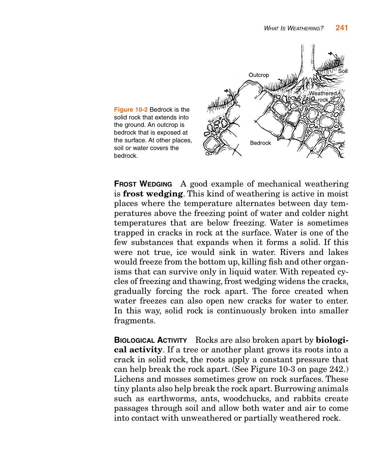

**FROST WEDGING** A good example of mechanical weathering is **frost wedging**. This kind of weathering is active in moist places where the temperature alternates between day temperatures above the freezing point of water and colder night temperatures that are below freezing. Water is sometimes trapped in cracks in rock at the surface. Water is one of the few substances that expands when it forms a solid. If this were not true, ice would sink in water. Rivers and lakes would freeze from the bottom up, killing fish and other organisms that can survive only in liquid water. With repeated cycles of freezing and thawing, frost wedging widens the cracks, gradually forcing the rock apart. The force created when water freezes can also open new cracks for water to enter. In this way, solid rock is continuously broken into smaller fragments.

**Figure 10-2** Bedrock is the solid rock that extends into the ground. An outcrop is bedrock that is exposed at the surface. At other places, soil or water covers the

bedrock.

**BIOLOGICAL ACTIVITY** Rocks are also broken apart by **biological activity**. If a tree or another plant grows its roots into a crack in solid rock, the roots apply a constant pressure that can help break the rock apart. (See Figure 10-3 on page 242.) Lichens and mosses sometimes grow on rock surfaces. These tiny plants also help break the rock apart. Burrowing animals such as earthworms, ants, woodchucks, and rabbits create passages through soil and allow both water and air to come into contact with unweathered or partially weathered rock.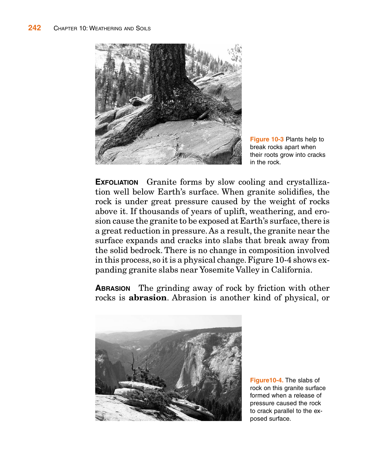

**Figure 10-3** Plants help to break rocks apart when their roots grow into cracks in the rock.

**EXFOLIATION** Granite forms by slow cooling and crystallization well below Earth's surface. When granite solidifies, the rock is under great pressure caused by the weight of rocks above it. If thousands of years of uplift, weathering, and erosion cause the granite to be exposed at Earth's surface, there is a great reduction in pressure. As a result, the granite near the surface expands and cracks into slabs that break away from the solid bedrock. There is no change in composition involved in this process, so it is a physical change. Figure 10-4 shows expanding granite slabs near Yosemite Valley in California.

**ABRASION** The grinding away of rock by friction with other rocks is **abrasion**. Abrasion is another kind of physical, or



**Figure10-4.** The slabs of rock on this granite surface formed when a release of pressure caused the rock to crack parallel to the exposed surface.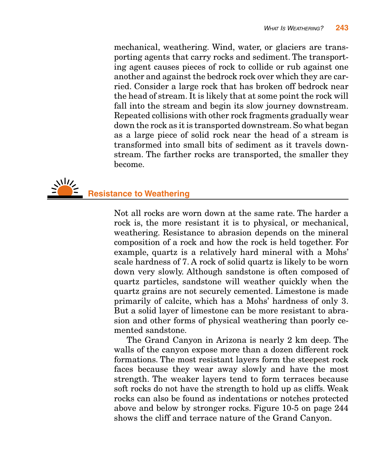mechanical, weathering. Wind, water, or glaciers are transporting agents that carry rocks and sediment. The transporting agent causes pieces of rock to collide or rub against one another and against the bedrock rock over which they are carried. Consider a large rock that has broken off bedrock near the head of stream. It is likely that at some point the rock will fall into the stream and begin its slow journey downstream. Repeated collisions with other rock fragments gradually wear down the rock as it is transported downstream. So what began as a large piece of solid rock near the head of a stream is transformed into small bits of sediment as it travels downstream. The farther rocks are transported, the smaller they become.



Not all rocks are worn down at the same rate. The harder a rock is, the more resistant it is to physical, or mechanical, weathering. Resistance to abrasion depends on the mineral composition of a rock and how the rock is held together. For example, quartz is a relatively hard mineral with a Mohs' scale hardness of 7. A rock of solid quartz is likely to be worn down very slowly. Although sandstone is often composed of quartz particles, sandstone will weather quickly when the quartz grains are not securely cemented. Limestone is made primarily of calcite, which has a Mohs' hardness of only 3. But a solid layer of limestone can be more resistant to abrasion and other forms of physical weathering than poorly cemented sandstone.

The Grand Canyon in Arizona is nearly 2 km deep. The walls of the canyon expose more than a dozen different rock formations. The most resistant layers form the steepest rock faces because they wear away slowly and have the most strength. The weaker layers tend to form terraces because soft rocks do not have the strength to hold up as cliffs. Weak rocks can also be found as indentations or notches protected above and below by stronger rocks. Figure 10-5 on page 244 shows the cliff and terrace nature of the Grand Canyon.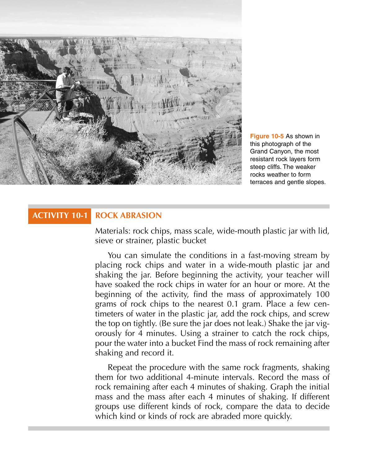

**Figure 10-5** As shown in this photograph of the Grand Canyon, the most resistant rock layers form steep cliffs. The weaker rocks weather to form terraces and gentle slopes.

## **ACTIVITY 10-1 ROCK ABRASION**

Materials: rock chips, mass scale, wide-mouth plastic jar with lid, sieve or strainer, plastic bucket

You can simulate the conditions in a fast-moving stream by placing rock chips and water in a wide-mouth plastic jar and shaking the jar. Before beginning the activity, your teacher will have soaked the rock chips in water for an hour or more. At the beginning of the activity, find the mass of approximately 100 grams of rock chips to the nearest 0.1 gram. Place a few centimeters of water in the plastic jar, add the rock chips, and screw the top on tightly. (Be sure the jar does not leak.) Shake the jar vigorously for 4 minutes. Using a strainer to catch the rock chips, pour the water into a bucket Find the mass of rock remaining after shaking and record it.

Repeat the procedure with the same rock fragments, shaking them for two additional 4-minute intervals. Record the mass of rock remaining after each 4 minutes of shaking. Graph the initial mass and the mass after each 4 minutes of shaking. If different groups use different kinds of rock, compare the data to decide which kind or kinds of rock are abraded more quickly.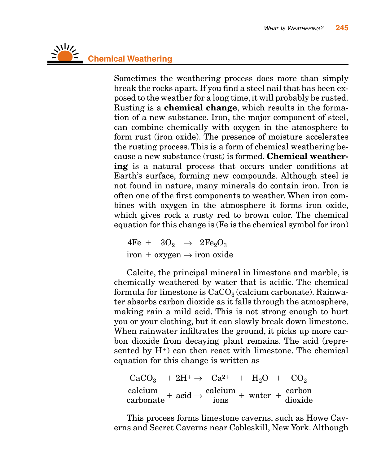## $\leq$ **Chemical Weathering**

Sometimes the weathering process does more than simply break the rocks apart. If you find a steel nail that has been exposed to the weather for a long time, it will probably be rusted. Rusting is a **chemical change**, which results in the formation of a new substance. Iron, the major component of steel, can combine chemically with oxygen in the atmosphere to form rust (iron oxide). The presence of moisture accelerates the rusting process. This is a form of chemical weathering because a new substance (rust) is formed. **Chemical weathering** is a natural process that occurs under conditions at Earth's surface, forming new compounds. Although steel is not found in nature, many minerals do contain iron. Iron is often one of the first components to weather. When iron combines with oxygen in the atmosphere it forms iron oxide, which gives rock a rusty red to brown color. The chemical equation for this change is (Fe is the chemical symbol for iron)

 $\rm 4Fe\, +\,~\,3O_2\,~\, \rightarrow\,~\,2Fe_2O_3$  $\text{iron} + \text{oxygen} \rightarrow \text{iron oxide}$ 

Calcite, the principal mineral in limestone and marble, is chemically weathered by water that is acidic. The chemical formula for limestone is  $CaCO<sub>3</sub>$  (calcium carbonate). Rainwater absorbs carbon dioxide as it falls through the atmosphere, making rain a mild acid. This is not strong enough to hurt you or your clothing, but it can slowly break down limestone. When rainwater infiltrates the ground, it picks up more carbon dioxide from decaying plant remains. The acid (represented by  $H^+$ ) can then react with limestone. The chemical equation for this change is written as

 $CaCO<sub>3</sub>$  +  $2H<sup>+</sup> \rightarrow Ca<sup>2+</sup>$  +  $H<sub>2</sub>O$  +  $CO<sub>2</sub>$  $\text{calcium}\atop{\text{exphonate}} + \text{acid} \rightarrow \text{calcium}\atop{\text{ions}} + \text{water} + \text{dissides}$ carbonate acid ions water dioxide

This process forms limestone caverns, such as Howe Caverns and Secret Caverns near Cobleskill, New York. Although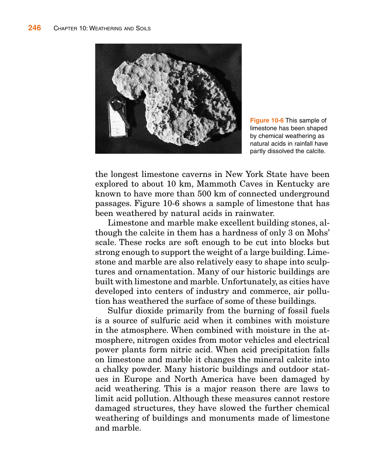

**Figure 10-6** This sample of limestone has been shaped by chemical weathering as natural acids in rainfall have partly dissolved the calcite.

the longest limestone caverns in New York State have been explored to about 10 km, Mammoth Caves in Kentucky are known to have more than 500 km of connected underground passages. Figure 10-6 shows a sample of limestone that has been weathered by natural acids in rainwater.

Limestone and marble make excellent building stones, although the calcite in them has a hardness of only 3 on Mohs' scale. These rocks are soft enough to be cut into blocks but strong enough to support the weight of a large building. Limestone and marble are also relatively easy to shape into sculptures and ornamentation. Many of our historic buildings are built with limestone and marble. Unfortunately, as cities have developed into centers of industry and commerce, air pollution has weathered the surface of some of these buildings.

Sulfur dioxide primarily from the burning of fossil fuels is a source of sulfuric acid when it combines with moisture in the atmosphere. When combined with moisture in the atmosphere, nitrogen oxides from motor vehicles and electrical power plants form nitric acid. When acid precipitation falls on limestone and marble it changes the mineral calcite into a chalky powder. Many historic buildings and outdoor statues in Europe and North America have been damaged by acid weathering. This is a major reason there are laws to limit acid pollution. Although these measures cannot restore damaged structures, they have slowed the further chemical weathering of buildings and monuments made of limestone and marble.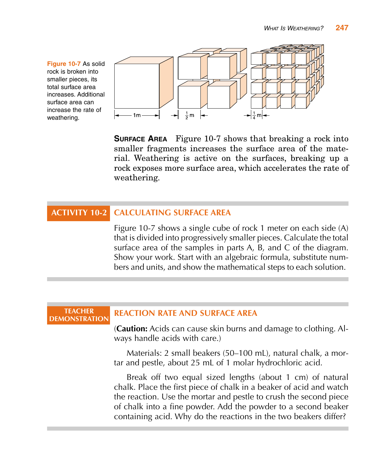**Figure 10-7** As solid rock is broken into smaller pieces, its total surface area increases. Additional surface area can increase the rate of weathering.



**SURFACE AREA** Figure 10-7 shows that breaking a rock into smaller fragments increases the surface area of the material. Weathering is active on the surfaces, breaking up a rock exposes more surface area, which accelerates the rate of weathering.

## **ACTIVITY 10-2 CALCULATING SURFACE AREA**

Figure 10-7 shows a single cube of rock 1 meter on each side (A) that is divided into progressively smaller pieces. Calculate the total surface area of the samples in parts A, B, and C of the diagram. Show your work. Start with an algebraic formula, substitute numbers and units, and show the mathematical steps to each solution.

#### **REACTION RATE AND SURFACE AREA TEACHER DEMONSTRATION**

(**Caution:** Acids can cause skin burns and damage to clothing. Always handle acids with care.)

Materials: 2 small beakers (50–100 mL), natural chalk, a mortar and pestle, about 25 mL of 1 molar hydrochloric acid.

Break off two equal sized lengths (about 1 cm) of natural chalk. Place the first piece of chalk in a beaker of acid and watch the reaction. Use the mortar and pestle to crush the second piece of chalk into a fine powder. Add the powder to a second beaker containing acid. Why do the reactions in the two beakers differ?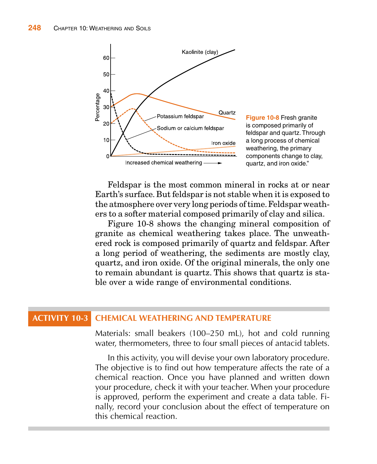

**Figure 10-8** Fresh granite is composed primarily of feldspar and quartz. Through a long process of chemical weathering, the primary components change to clay, quartz, and iron oxide."

Feldspar is the most common mineral in rocks at or near Earth's surface. But feldspar is not stable when it is exposed to the atmosphere over very long periods of time.Feldspar weathers to a softer material composed primarily of clay and silica.

Figure 10-8 shows the changing mineral composition of granite as chemical weathering takes place. The unweathered rock is composed primarily of quartz and feldspar. After a long period of weathering, the sediments are mostly clay, quartz, and iron oxide. Of the original minerals, the only one to remain abundant is quartz. This shows that quartz is stable over a wide range of environmental conditions.

## **ACTIVITY 10-3 CHEMICAL WEATHERING AND TEMPERATURE**

Materials: small beakers (100–250 mL), hot and cold running water, thermometers, three to four small pieces of antacid tablets.

In this activity, you will devise your own laboratory procedure. The objective is to find out how temperature affects the rate of a chemical reaction. Once you have planned and written down your procedure, check it with your teacher. When your procedure is approved, perform the experiment and create a data table. Finally, record your conclusion about the effect of temperature on this chemical reaction.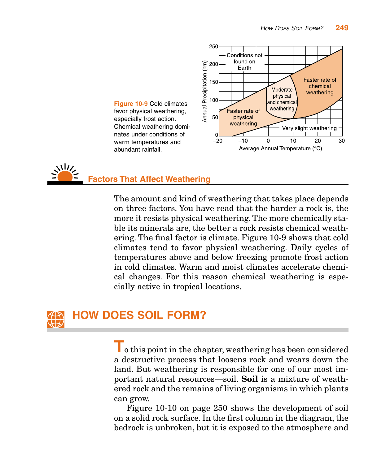



The amount and kind of weathering that takes place depends on three factors. You have read that the harder a rock is, the more it resists physical weathering. The more chemically stable its minerals are, the better a rock resists chemical weathering. The final factor is climate. Figure 10-9 shows that cold climates tend to favor physical weathering. Daily cycles of temperatures above and below freezing promote frost action in cold climates. Warm and moist climates accelerate chemical changes. For this reason chemical weathering is especially active in tropical locations.



**T** o this point in the chapter, weathering has been considered a destructive process that loosens rock and wears down the land. But weathering is responsible for one of our most important natural resources—soil. **Soil** is a mixture of weathered rock and the remains of living organisms in which plants can grow.

Figure 10-10 on page 250 shows the development of soil on a solid rock surface. In the first column in the diagram, the bedrock is unbroken, but it is exposed to the atmosphere and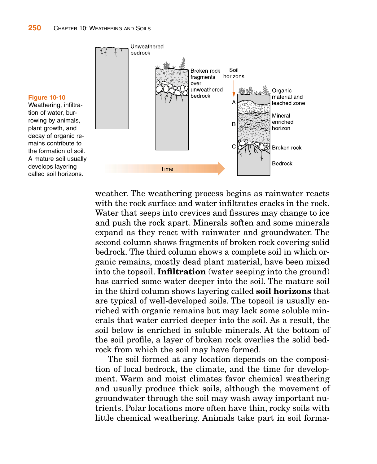

#### **Figure 10-10** Weathering, infiltra-

tion of water, burrowing by animals, plant growth, and decay of organic remains contribute to the formation of soil. A mature soil usually develops layering called soil horizons.

> weather. The weathering process begins as rainwater reacts with the rock surface and water infiltrates cracks in the rock. Water that seeps into crevices and fissures may change to ice and push the rock apart. Minerals soften and some minerals expand as they react with rainwater and groundwater. The second column shows fragments of broken rock covering solid bedrock. The third column shows a complete soil in which organic remains, mostly dead plant material, have been mixed into the topsoil. **Infiltration** (water seeping into the ground) has carried some water deeper into the soil. The mature soil in the third column shows layering called **soil horizons** that are typical of well-developed soils. The topsoil is usually enriched with organic remains but may lack some soluble minerals that water carried deeper into the soil. As a result, the soil below is enriched in soluble minerals. At the bottom of the soil profile, a layer of broken rock overlies the solid bedrock from which the soil may have formed.

> The soil formed at any location depends on the composition of local bedrock, the climate, and the time for development. Warm and moist climates favor chemical weathering and usually produce thick soils, although the movement of groundwater through the soil may wash away important nutrients. Polar locations more often have thin, rocky soils with little chemical weathering. Animals take part in soil forma-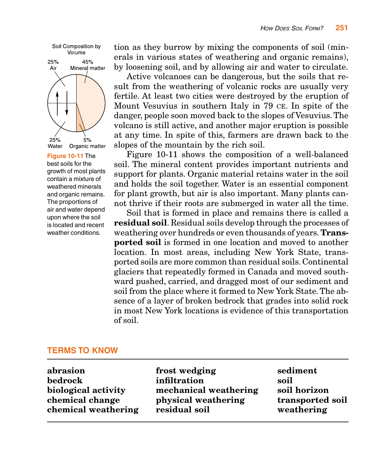

**Figure 10-11** The best soils for the growth of most plants contain a mixture of weathered minerals and organic remains. The proportions of air and water depend upon where the soil is located and recent weather conditions.

tion as they burrow by mixing the components of soil (minerals in various states of weathering and organic remains), by loosening soil, and by allowing air and water to circulate.

Active volcanoes can be dangerous, but the soils that result from the weathering of volcanic rocks are usually very fertile. At least two cities were destroyed by the eruption of Mount Vesuvius in southern Italy in 79 CE. In spite of the danger, people soon moved back to the slopes of Vesuvius. The volcano is still active, and another major eruption is possible at any time. In spite of this, farmers are drawn back to the slopes of the mountain by the rich soil.

Figure 10-11 shows the composition of a well-balanced soil. The mineral content provides important nutrients and support for plants. Organic material retains water in the soil and holds the soil together. Water is an essential component for plant growth, but air is also important. Many plants cannot thrive if their roots are submerged in water all the time.

Soil that is formed in place and remains there is called a **residual soil**. Residual soils develop through the processes of weathering over hundreds or even thousands of years. **Transported soil** is formed in one location and moved to another location. In most areas, including New York State, transported soils are more common than residual soils. Continental glaciers that repeatedly formed in Canada and moved southward pushed, carried, and dragged most of our sediment and soil from the place where it formed to New York State. The absence of a layer of broken bedrock that grades into solid rock in most New York locations is evidence of this transportation of soil.

### **TERMS TO KNOW**

**abrasion** frost wedging sediment **bedrock infiltration soil biological activity mechanical weathering soil horizon chemical change physical weathering transported soil chemical weathering residual soil weathering**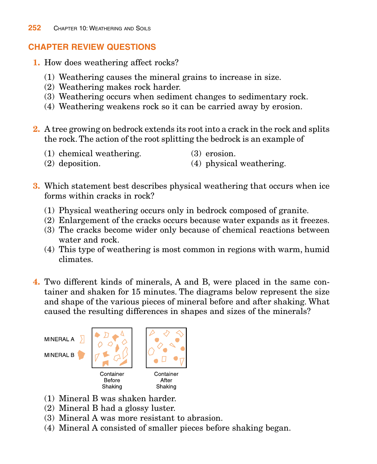## **CHAPTER REVIEW QUESTIONS**

- **1.** How does weathering affect rocks?
	- (1) Weathering causes the mineral grains to increase in size.
	- (2) Weathering makes rock harder.
	- (3) Weathering occurs when sediment changes to sedimentary rock.
	- (4) Weathering weakens rock so it can be carried away by erosion.
- **2.** A tree growing on bedrock extends its root into a crack in the rock and splits the rock. The action of the root splitting the bedrock is an example of
	- (1) chemical weathering. (3) erosion.
		-
	- (2) deposition. (4) physical weathering.
- 
- **3.** Which statement best describes physical weathering that occurs when ice forms within cracks in rock?
	- (1) Physical weathering occurs only in bedrock composed of granite.
	- (2) Enlargement of the cracks occurs because water expands as it freezes.
	- (3) The cracks become wider only because of chemical reactions between water and rock.
	- (4) This type of weathering is most common in regions with warm, humid climates.
- **4.** Two different kinds of minerals, A and B, were placed in the same container and shaken for 15 minutes. The diagrams below represent the size and shape of the various pieces of mineral before and after shaking. What caused the resulting differences in shapes and sizes of the minerals?

MINERAL A ><br>MINERAL B



- (1) Mineral B was shaken harder.
- (2) Mineral B had a glossy luster.
- (3) Mineral A was more resistant to abrasion.
- (4) Mineral A consisted of smaller pieces before shaking began.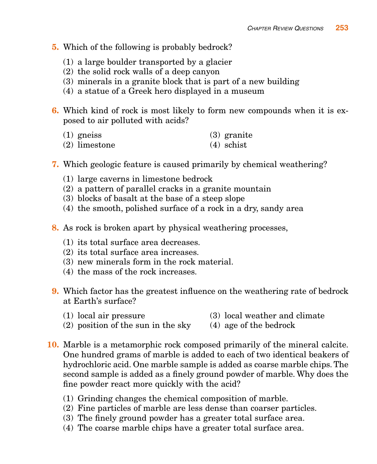- **5.** Which of the following is probably bedrock?
	- (1) a large boulder transported by a glacier
	- (2) the solid rock walls of a deep canyon
	- (3) minerals in a granite block that is part of a new building
	- (4) a statue of a Greek hero displayed in a museum
- **6.** Which kind of rock is most likely to form new compounds when it is exposed to air polluted with acids?
	- (1) gneiss (3) granite (2) limestone (4) schist
- **7.** Which geologic feature is caused primarily by chemical weathering?
	- (1) large caverns in limestone bedrock
	- (2) a pattern of parallel cracks in a granite mountain
	- (3) blocks of basalt at the base of a steep slope
	- (4) the smooth, polished surface of a rock in a dry, sandy area
- **8.** As rock is broken apart by physical weathering processes,
	- (1) its total surface area decreases.
	- (2) its total surface area increases.
	- (3) new minerals form in the rock material.
	- (4) the mass of the rock increases.
- **9.** Which factor has the greatest influence on the weathering rate of bedrock at Earth's surface?
	- (1) local air pressure (3) local weather and climate
	- (2) position of the sun in the sky (4) age of the bedrock
- **10.** Marble is a metamorphic rock composed primarily of the mineral calcite. One hundred grams of marble is added to each of two identical beakers of hydrochloric acid. One marble sample is added as coarse marble chips. The second sample is added as a finely ground powder of marble. Why does the fine powder react more quickly with the acid?
	- (1) Grinding changes the chemical composition of marble.
	- (2) Fine particles of marble are less dense than coarser particles.
	- (3) The finely ground powder has a greater total surface area.
	- (4) The coarse marble chips have a greater total surface area.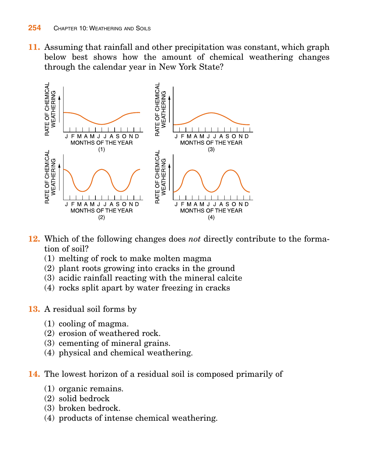**11.** Assuming that rainfall and other precipitation was constant, which graph below best shows how the amount of chemical weathering changes through the calendar year in New York State?



- **12.** Which of the following changes does *not* directly contribute to the formation of soil?
	- (1) melting of rock to make molten magma
	- (2) plant roots growing into cracks in the ground
	- (3) acidic rainfall reacting with the mineral calcite
	- (4) rocks split apart by water freezing in cracks
- **13.** A residual soil forms by
	- (1) cooling of magma.
	- (2) erosion of weathered rock.
	- (3) cementing of mineral grains.
	- (4) physical and chemical weathering.
- **14.** The lowest horizon of a residual soil is composed primarily of
	- (1) organic remains.
	- (2) solid bedrock
	- (3) broken bedrock.
	- (4) products of intense chemical weathering.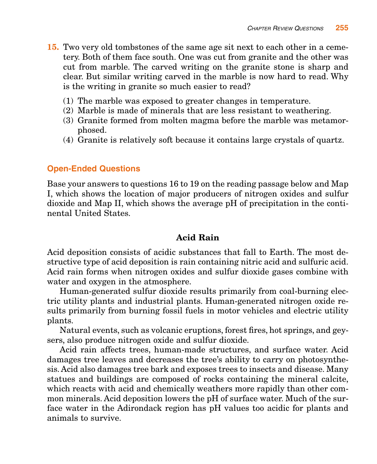- **15.** Two very old tombstones of the same age sit next to each other in a cemetery. Both of them face south. One was cut from granite and the other was cut from marble. The carved writing on the granite stone is sharp and clear. But similar writing carved in the marble is now hard to read. Why is the writing in granite so much easier to read?
	- (1) The marble was exposed to greater changes in temperature.
	- (2) Marble is made of minerals that are less resistant to weathering.
	- (3) Granite formed from molten magma before the marble was metamorphosed.
	- (4) Granite is relatively soft because it contains large crystals of quartz.

## **Open-Ended Questions**

Base your answers to questions 16 to 19 on the reading passage below and Map I, which shows the location of major producers of nitrogen oxides and sulfur dioxide and Map II, which shows the average pH of precipitation in the continental United States.

## **Acid Rain**

Acid deposition consists of acidic substances that fall to Earth. The most destructive type of acid deposition is rain containing nitric acid and sulfuric acid. Acid rain forms when nitrogen oxides and sulfur dioxide gases combine with water and oxygen in the atmosphere.

Human-generated sulfur dioxide results primarily from coal-burning electric utility plants and industrial plants. Human-generated nitrogen oxide results primarily from burning fossil fuels in motor vehicles and electric utility plants.

Natural events, such as volcanic eruptions, forest fires, hot springs, and geysers, also produce nitrogen oxide and sulfur dioxide.

Acid rain affects trees, human-made structures, and surface water. Acid damages tree leaves and decreases the tree's ability to carry on photosynthesis. Acid also damages tree bark and exposes trees to insects and disease. Many statues and buildings are composed of rocks containing the mineral calcite, which reacts with acid and chemically weathers more rapidly than other common minerals. Acid deposition lowers the pH of surface water. Much of the surface water in the Adirondack region has pH values too acidic for plants and animals to survive.